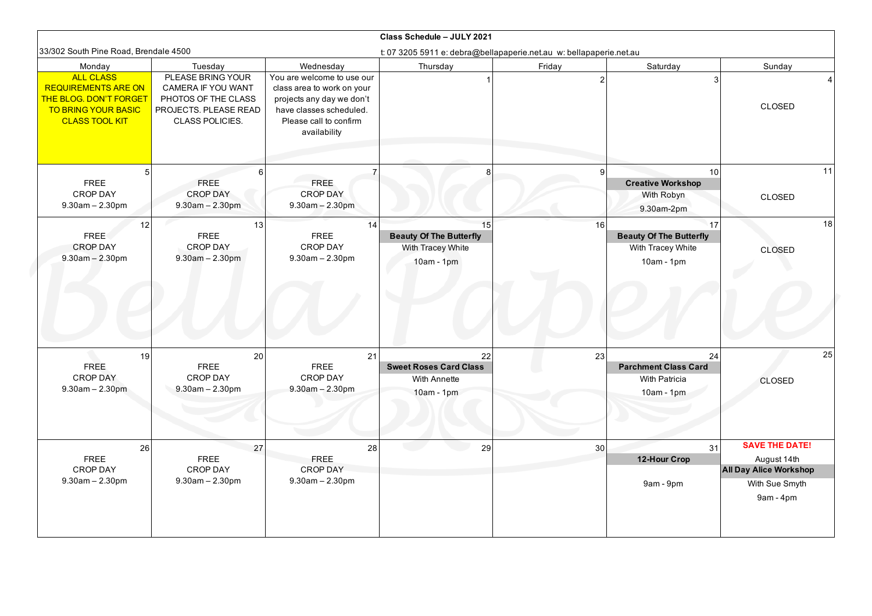| Class Schedule - JULY 2021                                                                                                      |                                                                                                                   |                                                                                                                                                            |                                                                           |                |                                                                           |                                              |
|---------------------------------------------------------------------------------------------------------------------------------|-------------------------------------------------------------------------------------------------------------------|------------------------------------------------------------------------------------------------------------------------------------------------------------|---------------------------------------------------------------------------|----------------|---------------------------------------------------------------------------|----------------------------------------------|
| 33/302 South Pine Road, Brendale 4500                                                                                           |                                                                                                                   |                                                                                                                                                            | t: 07 3205 5911 e: debra@bellapaperie.net.au w: bellapaperie.net.au       |                |                                                                           |                                              |
| Monday                                                                                                                          | Tuesday                                                                                                           | Wednesday                                                                                                                                                  | Thursday                                                                  | Friday         | Saturday                                                                  | Sunday                                       |
| <b>ALL CLASS</b><br><b>REQUIREMENTS ARE ON</b><br><b>THE BLOG. DON'T FORGET</b><br>TO BRING YOUR BASIC<br><b>CLASS TOOL KIT</b> | PLEASE BRING YOUR<br>CAMERA IF YOU WANT<br>PHOTOS OF THE CLASS<br>PROJECTS. PLEASE READ<br><b>CLASS POLICIES.</b> | You are welcome to use our<br>class area to work on your<br>projects any day we don't<br>have classes scheduled.<br>Please call to confirm<br>availability |                                                                           |                | 3                                                                         | CLOSED                                       |
| <b>FREE</b>                                                                                                                     | <b>FREE</b>                                                                                                       | FREE.                                                                                                                                                      | 8                                                                         | 9 <sup>1</sup> | 10<br><b>Creative Workshop</b>                                            | 11                                           |
| <b>CROP DAY</b><br>$9.30$ am $- 2.30$ pm                                                                                        | <b>CROP DAY</b><br>$9.30$ am $- 2.30$ pm                                                                          | <b>CROP DAY</b><br>$9.30$ am $- 2.30$ pm                                                                                                                   |                                                                           |                | With Robyn<br>9.30am-2pm                                                  | <b>CLOSED</b>                                |
| 12<br><b>FREE</b><br><b>CROP DAY</b><br>$9.30am - 2.30pm$                                                                       | 13<br><b>FREE</b><br><b>CROP DAY</b><br>$9.30$ am $- 2.30$ pm                                                     | 14<br><b>FREE</b><br><b>CROP DAY</b><br>$9.30$ am $- 2.30$ pm                                                                                              | 15<br><b>Beauty Of The Butterfly</b><br>With Tracey White<br>$10am - 1pm$ | 16             | 17<br><b>Beauty Of The Butterfly</b><br>With Tracey White<br>$10am - 1pm$ | 18<br><b>CLOSED</b>                          |
| 19<br><b>FREE</b><br><b>CROP DAY</b><br>$9.30am - 2.30pm$                                                                       | 20<br><b>FREE</b><br>CROP DAY<br>$9.30$ am $- 2.30$ pm                                                            | 21<br><b>FREE</b><br>CROP DAY<br>$9.30$ am $- 2.30$ pm                                                                                                     | 22<br><b>Sweet Roses Card Class</b><br>With Annette<br>$10am - 1pm$       | 23             | 24<br><b>Parchment Class Card</b><br>With Patricia<br>$10am - 1pm$        | 25<br><b>CLOSED</b>                          |
| 26                                                                                                                              | 27                                                                                                                | 28                                                                                                                                                         | 29                                                                        | 30             | 31                                                                        | <b>SAVE THE DATE!</b>                        |
| <b>FREE</b><br><b>CROP DAY</b>                                                                                                  | <b>FREE</b><br>CROP DAY                                                                                           | <b>FREE</b><br>CROP DAY                                                                                                                                    |                                                                           |                | 12-Hour Crop                                                              | August 14th<br><b>All Day Alice Workshop</b> |
| $9.30am - 2.30pm$                                                                                                               | $9.30$ am $- 2.30$ pm                                                                                             | $9.30$ am $- 2.30$ pm                                                                                                                                      |                                                                           |                | 9am - 9pm                                                                 | With Sue Smyth<br>$9am - 4pm$                |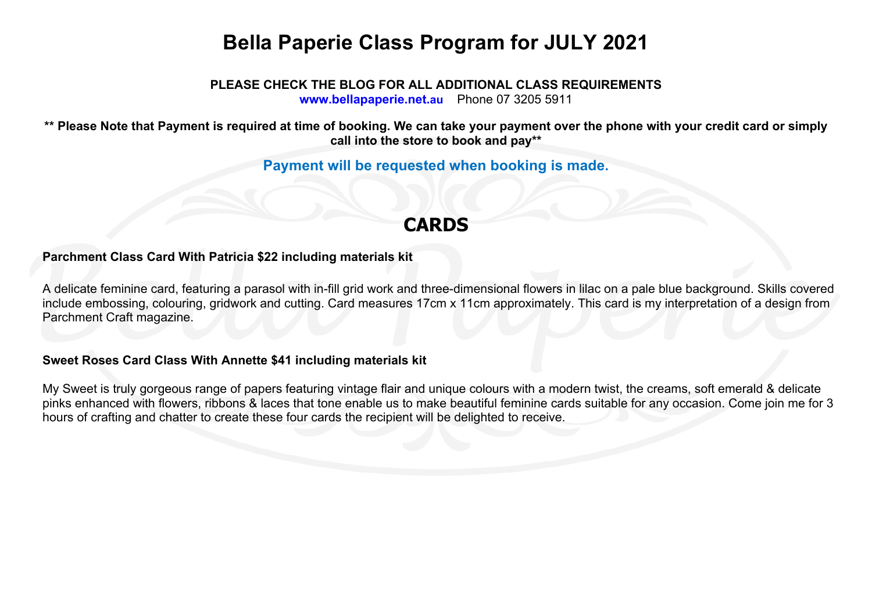# **Bella Paperie Class Program for JULY 2021**

**PLEASE CHECK THE BLOG FOR ALL ADDITIONAL CLASS REQUIREMENTS www.bellapaperie.net.au** Phone 07 3205 5911

**\*\* Please Note that Payment is required at time of booking. We can take your payment over the phone with your credit card or simply call into the store to book and pay\*\***

**Payment will be requested when booking is made.**

## **CARDS**

## **Parchment Class Card With Patricia \$22 including materials kit**

A delicate feminine card, featuring a parasol with in-fill grid work and three-dimensional flowers in lilac on a pale blue background. Skills covered include embossing, colouring, gridwork and cutting. Card measures 17cm x 11cm approximately. This card is my interpretation of a design from Parchment Craft magazine.

#### **Sweet Roses Card Class With Annette \$41 including materials kit**

My Sweet is truly gorgeous range of papers featuring vintage flair and unique colours with a modern twist, the creams, soft emerald & delicate pinks enhanced with flowers, ribbons & laces that tone enable us to make beautiful feminine cards suitable for any occasion. Come join me for 3 hours of crafting and chatter to create these four cards the recipient will be delighted to receive.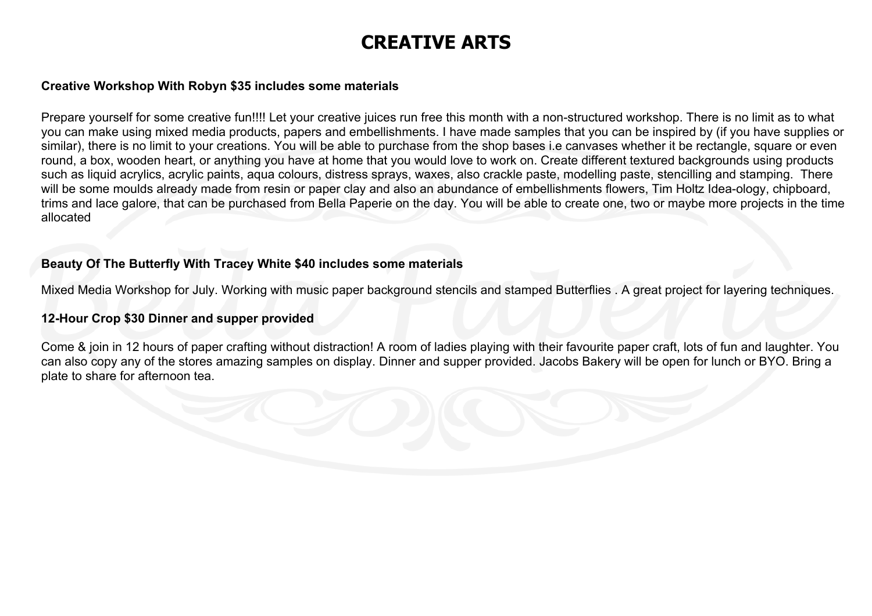## **CREATIVE ARTS**

### **Creative Workshop With Robyn \$35 includes some materials**

Prepare yourself for some creative fun!!!! Let your creative juices run free this month with a non-structured workshop. There is no limit as to what you can make using mixed media products, papers and embellishments. I have made samples that you can be inspired by (if you have supplies or similar), there is no limit to your creations. You will be able to purchase from the shop bases i.e canvases whether it be rectangle, square or even round, a box, wooden heart, or anything you have at home that you would love to work on. Create different textured backgrounds using products such as liquid acrylics, acrylic paints, aqua colours, distress sprays, waxes, also crackle paste, modelling paste, stencilling and stamping. There will be some moulds already made from resin or paper clay and also an abundance of embellishments flowers. Tim Holtz Idea-ology, chipboard, trims and lace galore, that can be purchased from Bella Paperie on the day. You will be able to create one, two or maybe more projects in the time allocated

## **Beauty Of The Butterfly With Tracey White \$40 includes some materials**

Mixed Media Workshop for July. Working with music paper background stencils and stamped Butterflies . A great project for layering techniques.

## **12-Hour Crop \$30 Dinner and supper provided**

Come & join in 12 hours of paper crafting without distraction! A room of ladies playing with their favourite paper craft, lots of fun and laughter. You can also copy any of the stores amazing samples on display. Dinner and supper provided. Jacobs Bakery will be open for lunch or BYO. Bring a plate to share for afternoon tea.